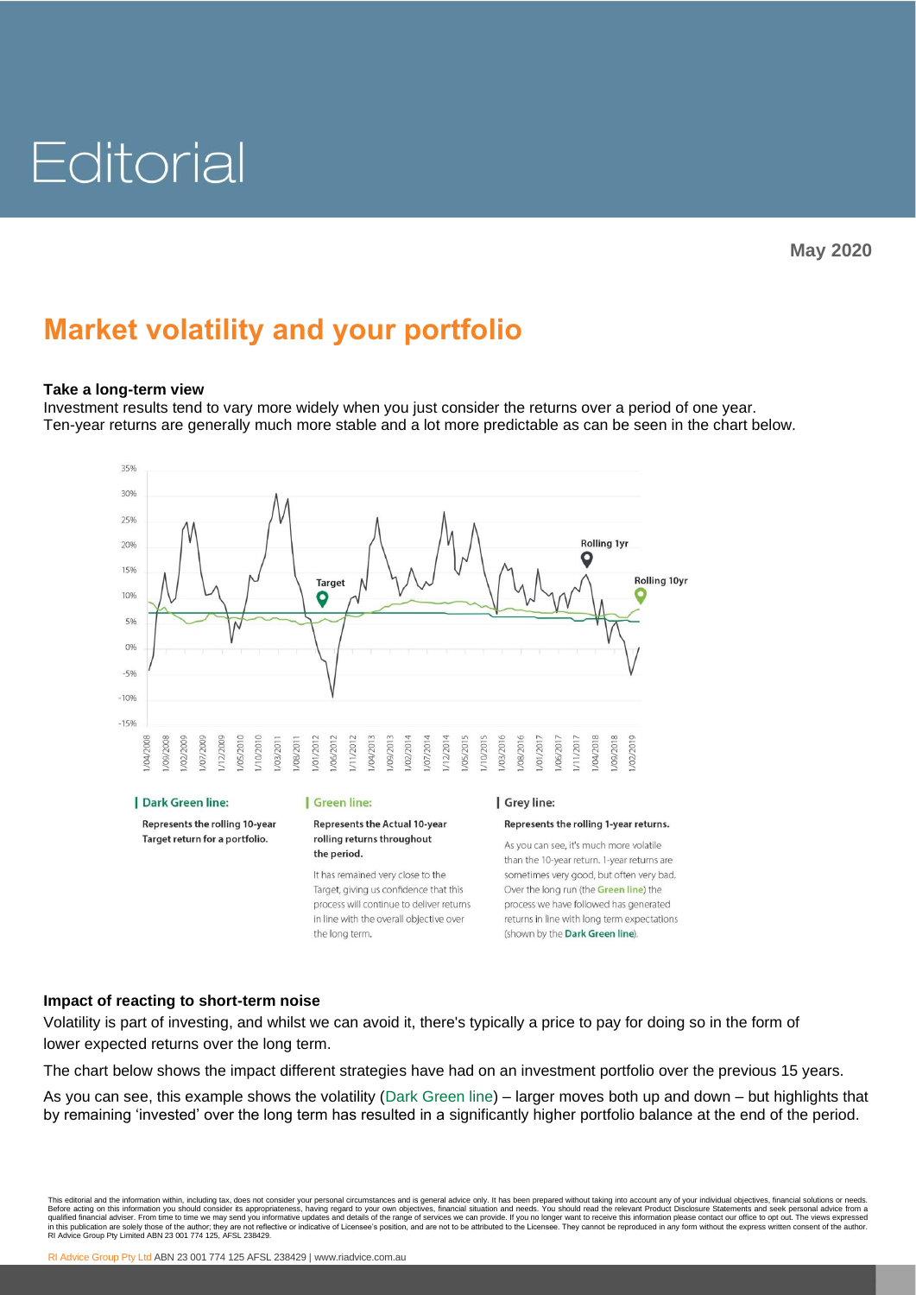# Editorial

# **Market volatility and your portfolio**

## **Take a long-term view**

Investment results tend to vary more widely when you just consider the returns over a period of one year. Ten-year returns are generally much more stable and a lot more predictable as can be seen in the chart below.



#### | Dark Green line:

Represents the rolling 10-year Target return for a portfolio.

#### | Green line:

#### **Represents the Actual 10-year** rolling returns throughout the period.

It has remained very close to the Target, giving us confidence that this process will continue to deliver returns in line with the overall objective over the long term.

#### Grey line:

#### Represents the rolling 1-year returns.

As you can see, it's much more volatile than the 10-year return. 1-year returns are sometimes very good, but often very bad. Over the long run (the Green line) the process we have followed has generated returns in line with long term expectations (shown by the Dark Green line).

## **Impact of reacting to short-term noise**

Volatility is part of investing, and whilst we can avoid it, there's typically a price to pay for doing so in the form of lower expected returns over the long term.

The chart below shows the impact different strategies have had on an investment portfolio over the previous 15 years.

As you can see, this example shows the volatility (Dark Green line) – larger moves both up and down – but highlights that by remaining 'invested' over the long term has resulted in a significantly higher portfolio balance at the end of the period.

This editorial and the information with, including tax, does not consider your personal circumstances and is general advice only. It has been prepared without taking into account any of your individual objectives, financia